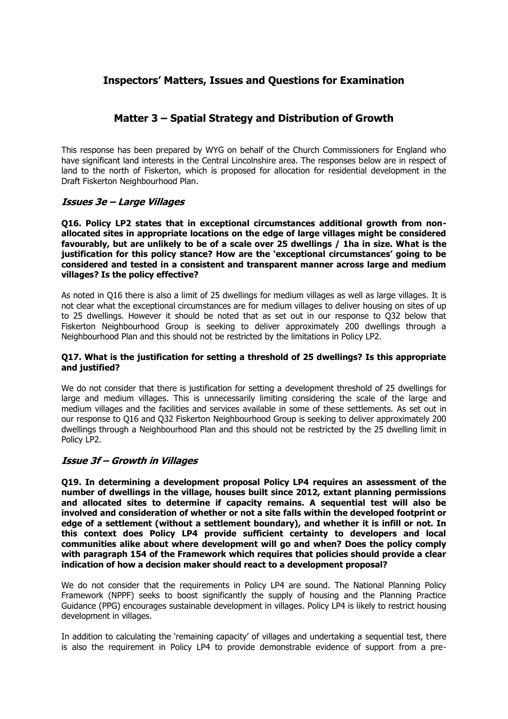# **Inspectors' Matters, Issues and Questions for Examination**

# **Matter 3 – Spatial Strategy and Distribution of Growth**

This response has been prepared by WYG on behalf of the Church Commissioners for England who have significant land interests in the Central Lincolnshire area. The responses below are in respect of land to the north of Fiskerton, which is proposed for allocation for residential development in the Draft Fiskerton Neighbourhood Plan.

# **Issues 3e – Large Villages**

**Q16. Policy LP2 states that in exceptional circumstances additional growth from nonallocated sites in appropriate locations on the edge of large villages might be considered favourably, but are unlikely to be of a scale over 25 dwellings / 1ha in size. What is the justification for this policy stance? How are the 'exceptional circumstances' going to be considered and tested in a consistent and transparent manner across large and medium villages? Is the policy effective?** 

As noted in Q16 there is also a limit of 25 dwellings for medium villages as well as large villages. It is not clear what the exceptional circumstances are for medium villages to deliver housing on sites of up to 25 dwellings. However it should be noted that as set out in our response to Q32 below that Fiskerton Neighbourhood Group is seeking to deliver approximately 200 dwellings through a Neighbourhood Plan and this should not be restricted by the limitations in Policy LP2.

# **Q17. What is the justification for setting a threshold of 25 dwellings? Is this appropriate and justified?**

We do not consider that there is justification for setting a development threshold of 25 dwellings for large and medium villages. This is unnecessarily limiting considering the scale of the large and medium villages and the facilities and services available in some of these settlements. As set out in our response to Q16 and Q32 Fiskerton Neighbourhood Group is seeking to deliver approximately 200 dwellings through a Neighbourhood Plan and this should not be restricted by the 25 dwelling limit in Policy LP2.

# **Issue 3f – Growth in Villages**

**Q19. In determining a development proposal Policy LP4 requires an assessment of the number of dwellings in the village, houses built since 2012, extant planning permissions and allocated sites to determine if capacity remains. A sequential test will also be involved and consideration of whether or not a site falls within the developed footprint or edge of a settlement (without a settlement boundary), and whether it is infill or not. In this context does Policy LP4 provide sufficient certainty to developers and local communities alike about where development will go and when? Does the policy comply with paragraph 154 of the Framework which requires that policies should provide a clear indication of how a decision maker should react to a development proposal?**

We do not consider that the requirements in Policy LP4 are sound. The National Planning Policy Framework (NPPF) seeks to boost significantly the supply of housing and the Planning Practice Guidance (PPG) encourages sustainable development in villages. Policy LP4 is likely to restrict housing development in villages.

In addition to calculating the 'remaining capacity' of villages and undertaking a sequential test, there is also the requirement in Policy LP4 to provide demonstrable evidence of support from a pre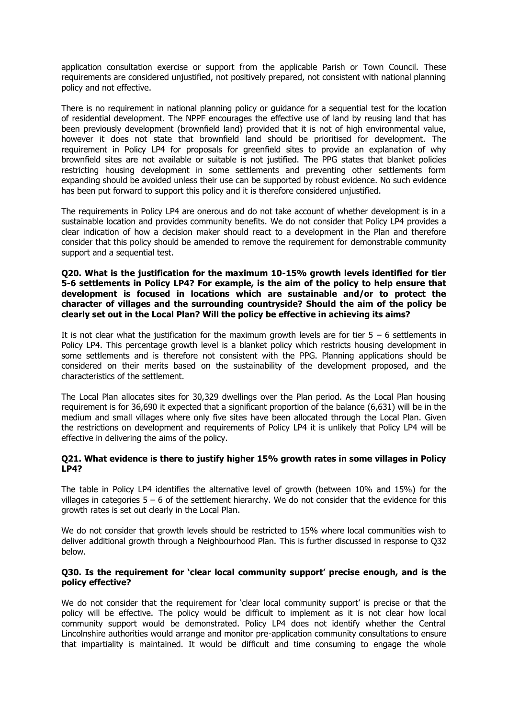application consultation exercise or support from the applicable Parish or Town Council. These requirements are considered unjustified, not positively prepared, not consistent with national planning policy and not effective.

There is no requirement in national planning policy or guidance for a sequential test for the location of residential development. The NPPF encourages the effective use of land by reusing land that has been previously development (brownfield land) provided that it is not of high environmental value, however it does not state that brownfield land should be prioritised for development. The requirement in Policy LP4 for proposals for greenfield sites to provide an explanation of why brownfield sites are not available or suitable is not justified. The PPG states that blanket policies restricting housing development in some settlements and preventing other settlements form expanding should be avoided unless their use can be supported by robust evidence. No such evidence has been put forward to support this policy and it is therefore considered unjustified.

The requirements in Policy LP4 are onerous and do not take account of whether development is in a sustainable location and provides community benefits. We do not consider that Policy LP4 provides a clear indication of how a decision maker should react to a development in the Plan and therefore consider that this policy should be amended to remove the requirement for demonstrable community support and a sequential test.

# **Q20. What is the justification for the maximum 10-15% growth levels identified for tier 5-6 settlements in Policy LP4? For example, is the aim of the policy to help ensure that development is focused in locations which are sustainable and/or to protect the character of villages and the surrounding countryside? Should the aim of the policy be clearly set out in the Local Plan? Will the policy be effective in achieving its aims?**

It is not clear what the justification for the maximum growth levels are for tier  $5 - 6$  settlements in Policy LP4. This percentage growth level is a blanket policy which restricts housing development in some settlements and is therefore not consistent with the PPG. Planning applications should be considered on their merits based on the sustainability of the development proposed, and the characteristics of the settlement.

The Local Plan allocates sites for 30,329 dwellings over the Plan period. As the Local Plan housing requirement is for 36,690 it expected that a significant proportion of the balance (6,631) will be in the medium and small villages where only five sites have been allocated through the Local Plan. Given the restrictions on development and requirements of Policy LP4 it is unlikely that Policy LP4 will be effective in delivering the aims of the policy.

# **Q21. What evidence is there to justify higher 15% growth rates in some villages in Policy LP4?**

The table in Policy LP4 identifies the alternative level of growth (between 10% and 15%) for the villages in categories  $5 - 6$  of the settlement hierarchy. We do not consider that the evidence for this growth rates is set out clearly in the Local Plan.

We do not consider that growth levels should be restricted to 15% where local communities wish to deliver additional growth through a Neighbourhood Plan. This is further discussed in response to Q32 below.

## **Q30. Is the requirement for 'clear local community support' precise enough, and is the policy effective?**

We do not consider that the requirement for 'clear local community support' is precise or that the policy will be effective. The policy would be difficult to implement as it is not clear how local community support would be demonstrated. Policy LP4 does not identify whether the Central Lincolnshire authorities would arrange and monitor pre-application community consultations to ensure that impartiality is maintained. It would be difficult and time consuming to engage the whole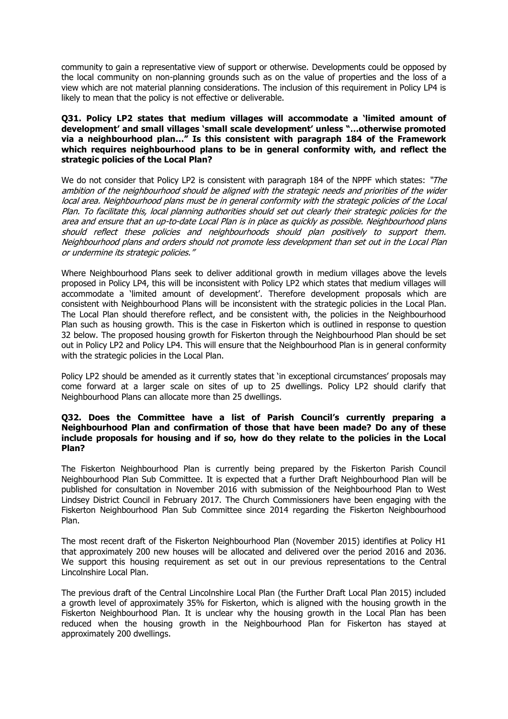community to gain a representative view of support or otherwise. Developments could be opposed by the local community on non-planning grounds such as on the value of properties and the loss of a view which are not material planning considerations. The inclusion of this requirement in Policy LP4 is likely to mean that the policy is not effective or deliverable.

# **Q31. Policy LP2 states that medium villages will accommodate a 'limited amount of development' and small villages 'small scale development' unless "…otherwise promoted via a neighbourhood plan…" Is this consistent with paragraph 184 of the Framework which requires neighbourhood plans to be in general conformity with, and reflect the strategic policies of the Local Plan?**

We do not consider that Policy LP2 is consistent with paragraph 184 of the NPPF which states: "The ambition of the neighbourhood should be aligned with the strategic needs and priorities of the wider local area. Neighbourhood plans must be in general conformity with the strategic policies of the Local Plan. To facilitate this, local planning authorities should set out clearly their strategic policies for the area and ensure that an up-to-date Local Plan is in place as quickly as possible. Neighbourhood plans should reflect these policies and neighbourhoods should plan positively to support them. Neighbourhood plans and orders should not promote less development than set out in the Local Plan or undermine its strategic policies."

Where Neighbourhood Plans seek to deliver additional growth in medium villages above the levels proposed in Policy LP4, this will be inconsistent with Policy LP2 which states that medium villages will accommodate a 'limited amount of development'. Therefore development proposals which are consistent with Neighbourhood Plans will be inconsistent with the strategic policies in the Local Plan. The Local Plan should therefore reflect, and be consistent with, the policies in the Neighbourhood Plan such as housing growth. This is the case in Fiskerton which is outlined in response to question 32 below. The proposed housing growth for Fiskerton through the Neighbourhood Plan should be set out in Policy LP2 and Policy LP4. This will ensure that the Neighbourhood Plan is in general conformity with the strategic policies in the Local Plan.

Policy LP2 should be amended as it currently states that 'in exceptional circumstances' proposals may come forward at a larger scale on sites of up to 25 dwellings. Policy LP2 should clarify that Neighbourhood Plans can allocate more than 25 dwellings.

## **Q32. Does the Committee have a list of Parish Council's currently preparing a Neighbourhood Plan and confirmation of those that have been made? Do any of these include proposals for housing and if so, how do they relate to the policies in the Local Plan?**

The Fiskerton Neighbourhood Plan is currently being prepared by the Fiskerton Parish Council Neighbourhood Plan Sub Committee. It is expected that a further Draft Neighbourhood Plan will be published for consultation in November 2016 with submission of the Neighbourhood Plan to West Lindsey District Council in February 2017. The Church Commissioners have been engaging with the Fiskerton Neighbourhood Plan Sub Committee since 2014 regarding the Fiskerton Neighbourhood Plan.

The most recent draft of the Fiskerton Neighbourhood Plan (November 2015) identifies at Policy H1 that approximately 200 new houses will be allocated and delivered over the period 2016 and 2036. We support this housing requirement as set out in our previous representations to the Central Lincolnshire Local Plan.

The previous draft of the Central Lincolnshire Local Plan (the Further Draft Local Plan 2015) included a growth level of approximately 35% for Fiskerton, which is aligned with the housing growth in the Fiskerton Neighbourhood Plan. It is unclear why the housing growth in the Local Plan has been reduced when the housing growth in the Neighbourhood Plan for Fiskerton has stayed at approximately 200 dwellings.